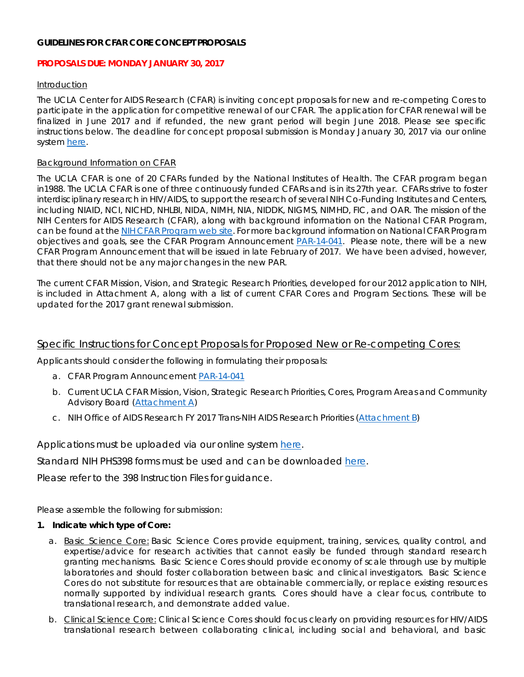# **GUIDELINES FOR CFAR CORE CONCEPT PROPOSALS**

## **PROPOSALS DUE: MONDAY JANUARY 30, 2017**

#### Introduction

The UCLA Center for AIDS Research (CFAR) is inviting concept proposals for new and re-competing Cores to participate in the application for competitive renewal of our CFAR. The application for CFAR renewal will be finalized in June 2017 and if refunded, the new grant period will begin June 2018. Please see specific instructions below. The deadline for concept proposal submission is Monday January 30, 2017 via our online system [here.](https://www.cognitoforms.com/UCLACFARAIDSInstitute/UCLACFARCoreConceptProposal)

## Background Information on CFAR

The UCLA CFAR is one of 20 CFARs funded by the National Institutes of Health. The CFAR program began in1988. The UCLA CFAR is one of three continuously funded CFARs and is in its 27th year. CFARs strive to foster interdisciplinary research in HIV/AIDS, to support the research of several NIH Co-Funding Institutes and Centers, including NIAID, NCI, NICHD, NHLBI, NIDA, NIMH, NIA, NIDDK, NIGMS, NIMHD, FIC, and OAR. The mission of the NIH Centers for AIDS Research (CFAR), along with background information on the National CFAR Program, can be found at th[e NIH CFAR Program web](https://www.niaid.nih.gov/research/centers-aids-research) site. For more background information on National CFAR Program objectives and goals, see the CFAR Program Announcement [PAR-14-041.](http://grants.nih.gov/grants/guide/pa-files/PAR-14-041.html) *Please note, there will be a new CFAR Program Announcement that will be issued in late February of 2017. We have been advised, however, that there should not be any major changes in the new PAR.*

The current CFAR Mission, Vision, and Strategic Research Priorities, developed for our 2012 application to NIH, is included in Attachment A, along with a list of current CFAR Cores and Program Sections. These will be updated for the 2017 grant renewal submission.

# Specific Instructions for Concept Proposals for Proposed New or Re-competing Cores:

Applicants should consider the following in formulating their proposals:

- a. CFAR Program Announcement [PAR-14-041](http://grants.nih.gov/grants/guide/pa-files/PAR-14-041.html)
- b. Current UCLA CFAR Mission, Vision, Strategic Research Priorities, Cores, Program Areas and Community Advisory Board [\(Attachment A\)](http://aidsinstitute.ucla.edu/workfiles/CFAR/AttachmentA-CFARRFA.pdf)
- c. NIH Office of AIDS Research FY 2017 Trans-NIH AIDS Research Priorities [\(Attachment B\)](https://www.oar.nih.gov/strategic_plan/fy2017/OARStrategicPlan2017.pdf)

Applications must be uploaded via our online system [here.](https://www.cognitoforms.com/UCLACFARAIDSInstitute/UCLACFARCoreConceptProposal)

Standard NIH PHS398 forms must be used and can be downloaded [here.](https://grants.nih.gov/grants/funding/phs398/phs398.html)

Please refer to the 398 Instruction Files for guidance.

Please assemble the following for submission:

#### **1. Indicate which type of Core:**

- a. Basic Science Core: Basic Science Cores provide equipment, training, services, quality control, and expertise/advice for research activities that cannot easily be funded through standard research granting mechanisms. Basic Science Cores should provide economy of scale through use by multiple laboratories and should foster collaboration between basic and clinical investigators. Basic Science Cores do not substitute for resources that are obtainable commercially, or replace existing resources normally supported by individual research grants. Cores should have a clear focus, contribute to translational research, and demonstrate added value.
- b. Clinical Science Core: Clinical Science Cores should focus clearly on providing resources for HIV/AIDS translational research between collaborating clinical, including social and behavioral, and basic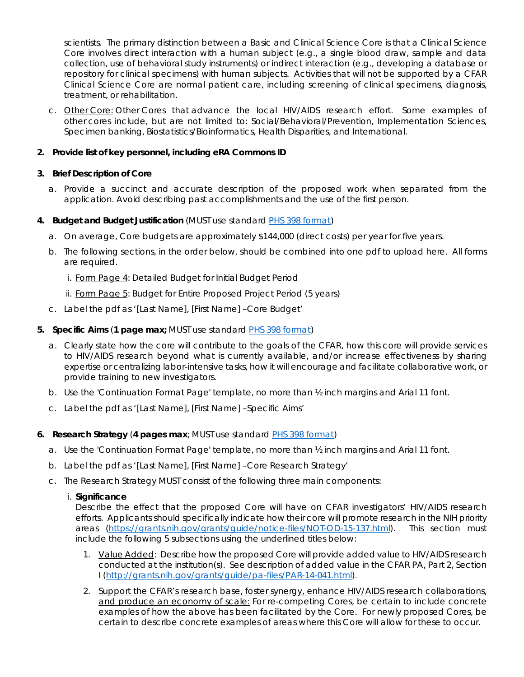scientists. The primary distinction between a Basic and Clinical Science Core is that a Clinical Science Core involves direct interaction with a human subject (e.g., a single blood draw, sample and data collection, use of behavioral study instruments) or indirect interaction (e.g., developing a database or repository for clinical specimens) with human subjects. Activities that will not be supported by a CFAR Clinical Science Core are normal patient care, including screening of clinical specimens, diagnosis, treatment, or rehabilitation.

c. Other Core: Other Cores that advance the local HIV/AIDS research effort. Some examples of other cores include, but are not limited to: Social/Behavioral/Prevention, Implementation Sciences, Specimen banking, Biostatistics/Bioinformatics, Health Disparities, and International.

# **2. Provide list of key personnel, including eRA Commons ID**

#### **3. Brief Description of Core**

a. Provide a succinct and accurate description of the proposed work when separated from the application. Avoid describing past accomplishments and the use of the first person.

# **4. Budget and Budget Justification** (MUST use standard [PHS 398 format\)](http://grants.nih.gov/grants/funding/phs398/phs398.html)

- a. On average, Core budgets are approximately \$144,000 (direct costs) per year for five years.
- b. The following sections, in the order below, should be combined into one pdf to upload here. All forms are required.
	- i. Form Page 4: Detailed Budget for Initial Budget Period
	- ii. Form Page 5: Budget for Entire Proposed Project Period (5 years)
- c. Label the pdf as '[Last Name], [First Name] –Core Budget'

#### **5. Specific Aims** (**1 page max;** MUST use standard [PHS 398 format\)](http://grants.nih.gov/grants/funding/phs398/phs398.html)

- a. Clearly state how the core will contribute to the goals of the CFAR, how this core will provide services to HIV/AIDS research beyond what is currently available, and/or increase effectiveness by sharing expertise or centralizing labor-intensive tasks, how it will encourage and facilitate collaborative work, or provide training to new investigators.
- b. Use the 'Continuation Format Page' template, no more than ½ inch margins and Arial 11 font.
- c. Label the pdf as '[Last Name], [First Name] –Specific Aims'

#### **6. Research Strategy** (**4 pages max**; MUST use standard PHS [398 format\)](http://grants.nih.gov/grants/funding/phs398/phs398.html)

- a. Use the 'Continuation Format Page' template, no more than ½ inch margins and Arial 11 font.
- b. Label the pdf as '[Last Name], [First Name] –Core Research Strategy'
- c. The Research Strategy MUST consist of the following three main components:

#### i. **Significance**

Describe the effect that the proposed Core will have on CFAR investigators' HIV/AIDS research efforts. Applicants should specifically indicate how their core will promote research in the NIH priority areas [\(https://grants.nih.gov/grants/guide/notice-files/NOT-OD-15-137.html\)](https://grants.nih.gov/grants/guide/notice-files/NOT-OD-15-137.html). This section must include the following 5 subsections using the underlined titles below:

- 1. Value Added: Describe how the proposed Core will provide added value to HIV/AIDS research conducted at the institution(s). See description of added value in the CFAR PA, Part 2, Section I [\(http://grants.nih.gov/grants/guide/pa-files/PAR-14-041.html\)](http://grants.nih.gov/grants/guide/pa-files/PAR-14-041.html).
- 2. Support the CFAR's research base, foster synergy, enhance HIV/AIDS research collaborations, and produce an economy of scale: For re-competing Cores, be certain to include concrete examples of how the above has been facilitated by the Core. For newly proposed Cores, be certain to describe concrete examples of areas where this Core will allow for these to occur.